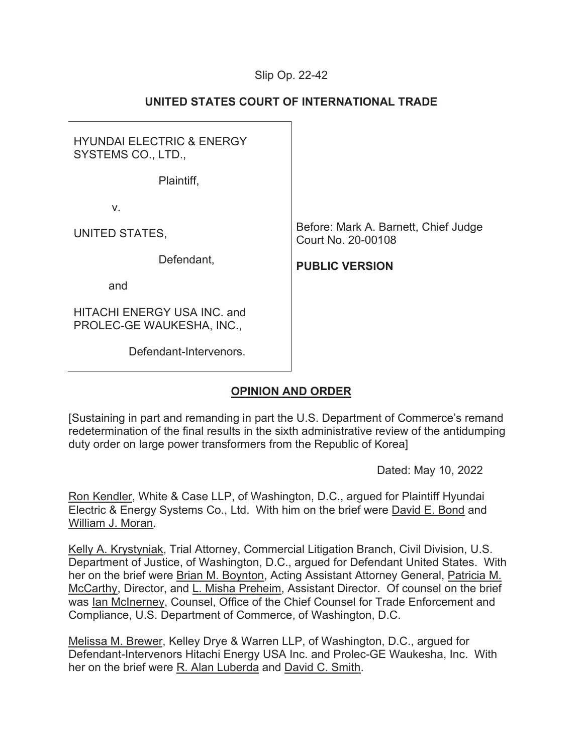## Slip Op. 22-42

| <b>HYUNDAI ELECTRIC &amp; ENERGY</b><br>SYSTEMS CO., LTD., |                                                            |
|------------------------------------------------------------|------------------------------------------------------------|
| Plaintiff,                                                 |                                                            |
| V.                                                         |                                                            |
| UNITED STATES,                                             | Before: Mark A. Barnett, Chief Judge<br>Court No. 20-00108 |
| Defendant,                                                 | <b>PUBLIC VERSION</b>                                      |
| and                                                        |                                                            |
| HITACHI ENERGY USA INC. and<br>PROLEC-GE WAUKESHA, INC.,   |                                                            |
| Defendant-Intervenors.                                     |                                                            |
|                                                            |                                                            |

# **UNITED STATES COURT OF INTERNATIONAL TRADE**

# **OPINION AND ORDER**

[Sustaining in part and remanding in part the U.S. Department of Commerce's remand redetermination of the final results in the sixth administrative review of the antidumping duty order on large power transformers from the Republic of Korea]

Dated: May 10, 2022

Ron Kendler, White & Case LLP, of Washington, D.C., argued for Plaintiff Hyundai Electric & Energy Systems Co., Ltd. With him on the brief were David E. Bond and William J. Moran.

Kelly A. Krystyniak, Trial Attorney, Commercial Litigation Branch, Civil Division, U.S. Department of Justice, of Washington, D.C., argued for Defendant United States. With her on the brief were **Brian M. Boynton**, Acting Assistant Attorney General, *Patricia M.* McCarthy, Director, and L. Misha Preheim, Assistant Director. Of counsel on the brief was Ian McInerney, Counsel, Office of the Chief Counsel for Trade Enforcement and Compliance, U.S. Department of Commerce, of Washington, D.C.

Melissa M. Brewer, Kelley Drye & Warren LLP, of Washington, D.C., argued for Defendant-Intervenors Hitachi Energy USA Inc. and Prolec-GE Waukesha, Inc. With her on the brief were R. Alan Luberda and David C. Smith.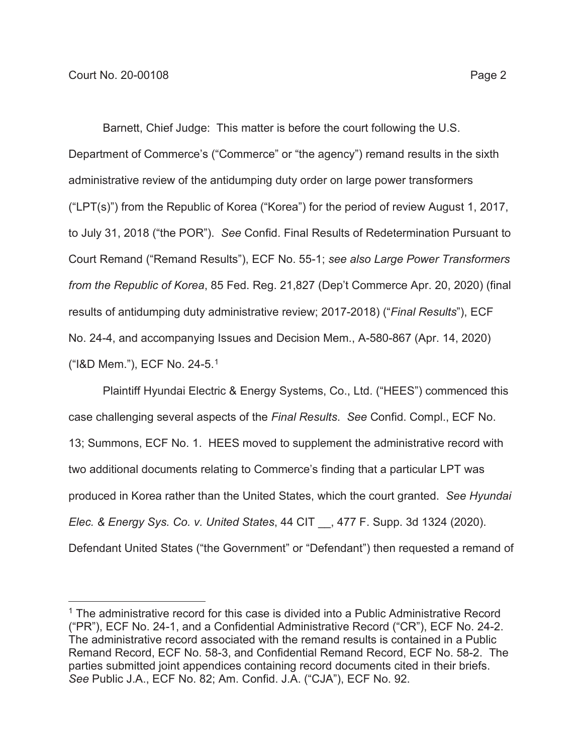Barnett, Chief Judge: This matter is before the court following the U.S. Department of Commerce's ("Commerce" or "the agency") remand results in the sixth administrative review of the antidumping duty order on large power transformers ("LPT(s)") from the Republic of Korea ("Korea") for the period of review August 1, 2017, to July 31, 2018 ("the POR"). *See* Confid. Final Results of Redetermination Pursuant to Court Remand ("Remand Results"), ECF No. 55-1; *see also Large Power Transformers from the Republic of Korea*, 85 Fed. Reg. 21,827 (Dep't Commerce Apr. 20, 2020) (final results of antidumping duty administrative review; 2017-2018) ("*Final Results*"), ECF No. 24-4, and accompanying Issues and Decision Mem., A-580-867 (Apr. 14, 2020) ("I&D Mem."), ECF No. 24-5.1

Plaintiff Hyundai Electric & Energy Systems, Co., Ltd. ("HEES") commenced this case challenging several aspects of the *Final Results*. *See* Confid. Compl., ECF No. 13; Summons, ECF No. 1. HEES moved to supplement the administrative record with two additional documents relating to Commerce's finding that a particular LPT was produced in Korea rather than the United States, which the court granted. *See Hyundai Elec. & Energy Sys. Co. v. United States*, 44 CIT \_\_, 477 F. Supp. 3d 1324 (2020). Defendant United States ("the Government" or "Defendant") then requested a remand of

<sup>&</sup>lt;sup>1</sup> The administrative record for this case is divided into a Public Administrative Record ("PR"), ECF No. 24-1, and a Confidential Administrative Record ("CR"), ECF No. 24-2. The administrative record associated with the remand results is contained in a Public Remand Record, ECF No. 58-3, and Confidential Remand Record, ECF No. 58-2. The parties submitted joint appendices containing record documents cited in their briefs. *See* Public J.A., ECF No. 82; Am. Confid. J.A. ("CJA"), ECF No. 92.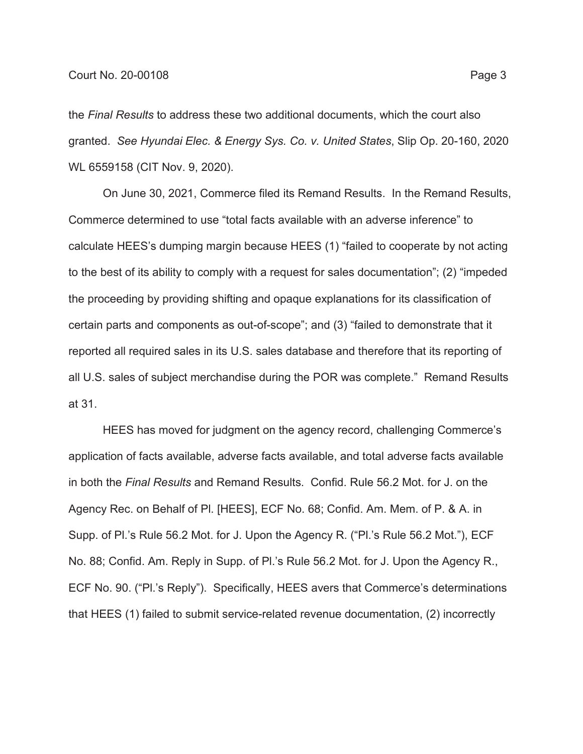the *Final Results* to address these two additional documents, which the court also granted. *See Hyundai Elec. & Energy Sys. Co. v. United States*, Slip Op. 20-160, 2020 WL 6559158 (CIT Nov. 9, 2020).

On June 30, 2021, Commerce filed its Remand Results. In the Remand Results, Commerce determined to use "total facts available with an adverse inference" to calculate HEES's dumping margin because HEES (1) "failed to cooperate by not acting to the best of its ability to comply with a request for sales documentation"; (2) "impeded the proceeding by providing shifting and opaque explanations for its classification of certain parts and components as out-of-scope"; and (3) "failed to demonstrate that it reported all required sales in its U.S. sales database and therefore that its reporting of all U.S. sales of subject merchandise during the POR was complete." Remand Results at 31.

HEES has moved for judgment on the agency record, challenging Commerce's application of facts available, adverse facts available, and total adverse facts available in both the *Final Results* and Remand Results. Confid. Rule 56.2 Mot. for J. on the Agency Rec. on Behalf of Pl. [HEES], ECF No. 68; Confid. Am. Mem. of P. & A. in Supp. of Pl.'s Rule 56.2 Mot. for J. Upon the Agency R. ("Pl.'s Rule 56.2 Mot."), ECF No. 88; Confid. Am. Reply in Supp. of Pl.'s Rule 56.2 Mot. for J. Upon the Agency R., ECF No. 90. ("Pl.'s Reply"). Specifically, HEES avers that Commerce's determinations that HEES (1) failed to submit service-related revenue documentation, (2) incorrectly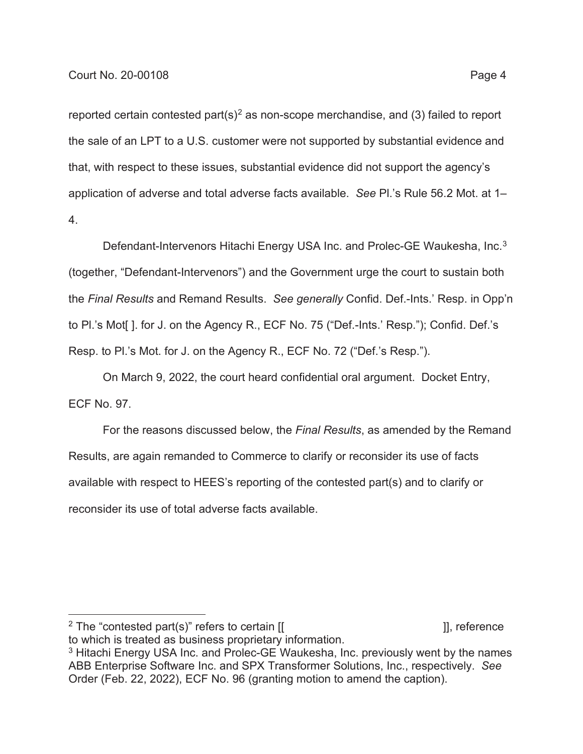reported certain contested part $(s)^2$  as non-scope merchandise, and (3) failed to report the sale of an LPT to a U.S. customer were not supported by substantial evidence and that, with respect to these issues, substantial evidence did not support the agency's application of adverse and total adverse facts available. *See* Pl.'s Rule 56.2 Mot. at 1– 4.

Defendant-Intervenors Hitachi Energy USA Inc. and Prolec-GE Waukesha, Inc.<sup>3</sup> (together, "Defendant-Intervenors") and the Government urge the court to sustain both the *Final Results* and Remand Results. *See generally* Confid. Def.-Ints.' Resp. in Opp'n to Pl.'s Mot[ ]. for J. on the Agency R., ECF No. 75 ("Def.-Ints.' Resp."); Confid. Def.'s Resp. to Pl.'s Mot. for J. on the Agency R., ECF No. 72 ("Def.'s Resp.").

On March 9, 2022, the court heard confidential oral argument. Docket Entry, ECF No. 97.

For the reasons discussed below, the *Final Results*, as amended by the Remand Results, are again remanded to Commerce to clarify or reconsider its use of facts available with respect to HEES's reporting of the contested part(s) and to clarify or reconsider its use of total adverse facts available.

<sup>&</sup>lt;sup>2</sup> The "contested part(s)" refers to certain  $[$ [  $]$ ], reference  $]$ ], reference to which is treated as business proprietary information.

<sup>&</sup>lt;sup>3</sup> Hitachi Energy USA Inc. and Prolec-GE Waukesha, Inc. previously went by the names ABB Enterprise Software Inc. and SPX Transformer Solutions, Inc., respectively. *See* Order (Feb. 22, 2022), ECF No. 96 (granting motion to amend the caption).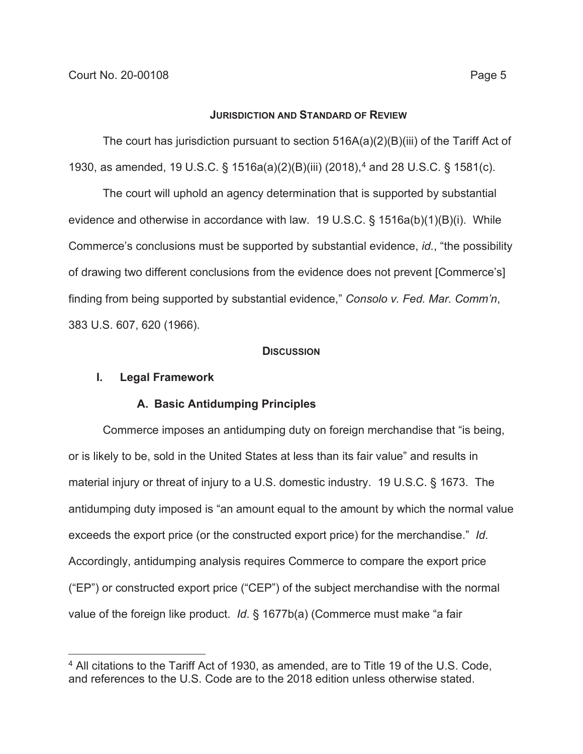#### **JURISDICTION AND STANDARD OF REVIEW**

The court has jurisdiction pursuant to section 516A(a)(2)(B)(iii) of the Tariff Act of 1930, as amended, 19 U.S.C. § 1516a(a)(2)(B)(iii) (2018),<sup>4</sup> and 28 U.S.C. § 1581(c).

The court will uphold an agency determination that is supported by substantial evidence and otherwise in accordance with law. 19 U.S.C. § 1516a(b)(1)(B)(i). While Commerce's conclusions must be supported by substantial evidence, *id.*, "the possibility of drawing two different conclusions from the evidence does not prevent [Commerce's] finding from being supported by substantial evidence," *Consolo v. Fed. Mar. Comm'n*, 383 U.S. 607, 620 (1966).

### **DISCUSSION**

## **I. Legal Framework**

## **A. Basic Antidumping Principles**

Commerce imposes an antidumping duty on foreign merchandise that "is being, or is likely to be, sold in the United States at less than its fair value" and results in material injury or threat of injury to a U.S. domestic industry. 19 U.S.C. § 1673. The antidumping duty imposed is "an amount equal to the amount by which the normal value exceeds the export price (or the constructed export price) for the merchandise." *Id*. Accordingly, antidumping analysis requires Commerce to compare the export price ("EP") or constructed export price ("CEP") of the subject merchandise with the normal value of the foreign like product. *Id*. § 1677b(a) (Commerce must make "a fair

<sup>4</sup> All citations to the Tariff Act of 1930, as amended, are to Title 19 of the U.S. Code, and references to the U.S. Code are to the 2018 edition unless otherwise stated.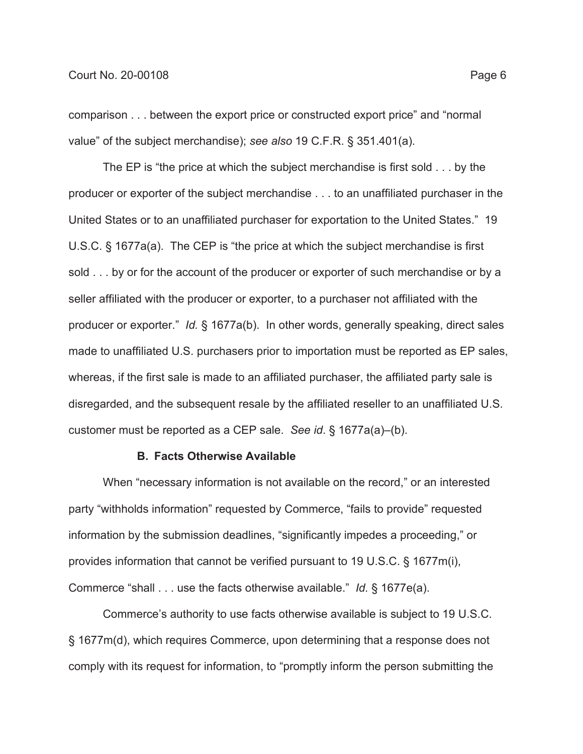comparison . . . between the export price or constructed export price" and "normal value" of the subject merchandise); *see also* 19 C.F.R. § 351.401(a).

The EP is "the price at which the subject merchandise is first sold . . . by the producer or exporter of the subject merchandise . . . to an unaffiliated purchaser in the United States or to an unaffiliated purchaser for exportation to the United States." 19 U.S.C. § 1677a(a). The CEP is "the price at which the subject merchandise is first sold . . . by or for the account of the producer or exporter of such merchandise or by a seller affiliated with the producer or exporter, to a purchaser not affiliated with the producer or exporter." *Id.* § 1677a(b). In other words, generally speaking, direct sales made to unaffiliated U.S. purchasers prior to importation must be reported as EP sales, whereas, if the first sale is made to an affiliated purchaser, the affiliated party sale is disregarded, and the subsequent resale by the affiliated reseller to an unaffiliated U.S. customer must be reported as a CEP sale. *See id*. § 1677a(a)–(b).

### **B. Facts Otherwise Available**

When "necessary information is not available on the record," or an interested party "withholds information" requested by Commerce, "fails to provide" requested information by the submission deadlines, "significantly impedes a proceeding," or provides information that cannot be verified pursuant to 19 U.S.C. § 1677m(i), Commerce "shall . . . use the facts otherwise available." *Id.* § 1677e(a).

Commerce's authority to use facts otherwise available is subject to 19 U.S.C. § 1677m(d), which requires Commerce, upon determining that a response does not comply with its request for information, to "promptly inform the person submitting the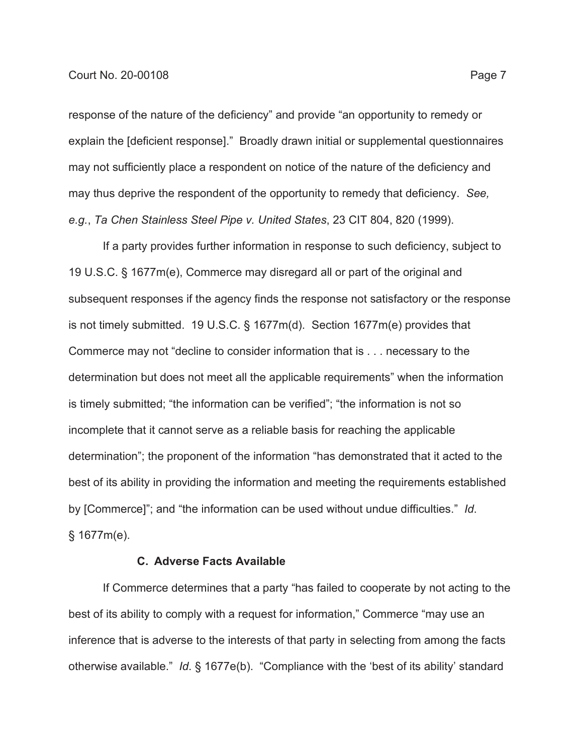response of the nature of the deficiency" and provide "an opportunity to remedy or explain the [deficient response]." Broadly drawn initial or supplemental questionnaires may not sufficiently place a respondent on notice of the nature of the deficiency and may thus deprive the respondent of the opportunity to remedy that deficiency. *See, e.g.*, *Ta Chen Stainless Steel Pipe v. United States*, 23 CIT 804, 820 (1999).

If a party provides further information in response to such deficiency, subject to 19 U.S.C. § 1677m(e), Commerce may disregard all or part of the original and subsequent responses if the agency finds the response not satisfactory or the response is not timely submitted. 19 U.S.C. § 1677m(d). Section 1677m(e) provides that Commerce may not "decline to consider information that is . . . necessary to the determination but does not meet all the applicable requirements" when the information is timely submitted; "the information can be verified"; "the information is not so incomplete that it cannot serve as a reliable basis for reaching the applicable determination"; the proponent of the information "has demonstrated that it acted to the best of its ability in providing the information and meeting the requirements established by [Commerce]"; and "the information can be used without undue difficulties." *Id*. § 1677m(e).

### **C. Adverse Facts Available**

If Commerce determines that a party "has failed to cooperate by not acting to the best of its ability to comply with a request for information," Commerce "may use an inference that is adverse to the interests of that party in selecting from among the facts otherwise available." *Id*. § 1677e(b). "Compliance with the 'best of its ability' standard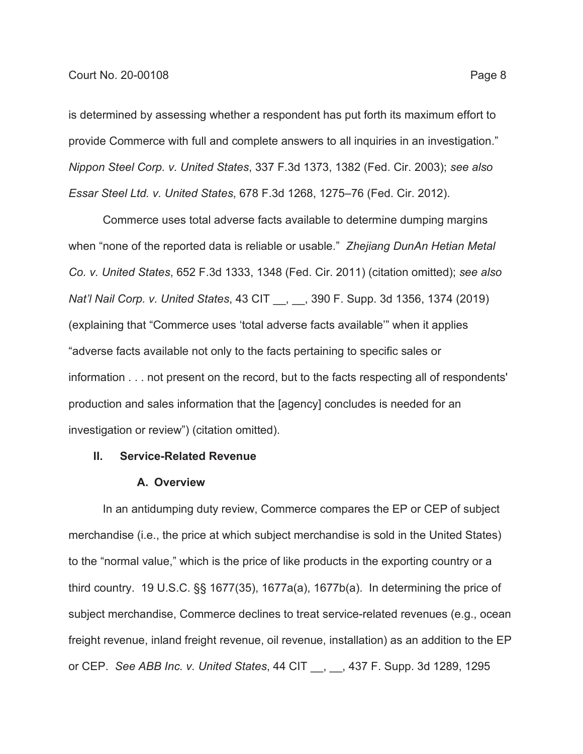is determined by assessing whether a respondent has put forth its maximum effort to provide Commerce with full and complete answers to all inquiries in an investigation." *Nippon Steel Corp. v. United States*, 337 F.3d 1373, 1382 (Fed. Cir. 2003); *see also Essar Steel Ltd. v. United States*, 678 F.3d 1268, 1275–76 (Fed. Cir. 2012).

Commerce uses total adverse facts available to determine dumping margins when "none of the reported data is reliable or usable." *Zhejiang DunAn Hetian Metal Co. v. United States*, 652 F.3d 1333, 1348 (Fed. Cir. 2011) (citation omitted); *see also Nat'l Nail Corp. v. United States*, 43 CIT \_\_, \_\_, 390 F. Supp. 3d 1356, 1374 (2019) (explaining that "Commerce uses 'total adverse facts available'" when it applies "adverse facts available not only to the facts pertaining to specific sales or information . . . not present on the record, but to the facts respecting all of respondents' production and sales information that the [agency] concludes is needed for an investigation or review") (citation omitted).

## **II. Service-Related Revenue**

### **A. Overview**

In an antidumping duty review, Commerce compares the EP or CEP of subject merchandise (i.e., the price at which subject merchandise is sold in the United States) to the "normal value," which is the price of like products in the exporting country or a third country. 19 U.S.C. §§ 1677(35), 1677a(a), 1677b(a). In determining the price of subject merchandise, Commerce declines to treat service-related revenues (e.g., ocean freight revenue, inland freight revenue, oil revenue, installation) as an addition to the EP or CEP. *See ABB Inc. v. United States*, 44 CIT \_\_, \_\_, 437 F. Supp. 3d 1289, 1295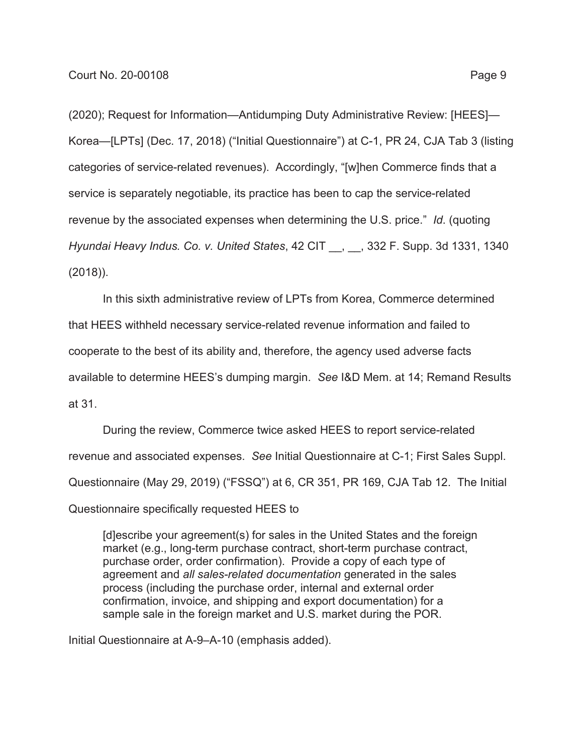(2020); Request for Information—Antidumping Duty Administrative Review: [HEES]— Korea—[LPTs] (Dec. 17, 2018) ("Initial Questionnaire") at C-1, PR 24, CJA Tab 3 (listing categories of service-related revenues). Accordingly, "[w]hen Commerce finds that a service is separately negotiable, its practice has been to cap the service-related revenue by the associated expenses when determining the U.S. price." *Id*. (quoting *Hyundai Heavy Indus. Co. v. United States*, 42 CIT \_\_, \_\_, 332 F. Supp. 3d 1331, 1340 (2018)).

In this sixth administrative review of LPTs from Korea, Commerce determined that HEES withheld necessary service-related revenue information and failed to cooperate to the best of its ability and, therefore, the agency used adverse facts available to determine HEES's dumping margin. *See* I&D Mem. at 14; Remand Results at 31.

During the review, Commerce twice asked HEES to report service-related revenue and associated expenses. *See* Initial Questionnaire at C-1; First Sales Suppl. Questionnaire (May 29, 2019) ("FSSQ") at 6, CR 351, PR 169, CJA Tab 12. The Initial Questionnaire specifically requested HEES to

[d]escribe your agreement(s) for sales in the United States and the foreign market (e.g., long-term purchase contract, short-term purchase contract, purchase order, order confirmation). Provide a copy of each type of agreement and *all sales-related documentation* generated in the sales process (including the purchase order, internal and external order confirmation, invoice, and shipping and export documentation) for a sample sale in the foreign market and U.S. market during the POR.

Initial Questionnaire at A-9–A-10 (emphasis added).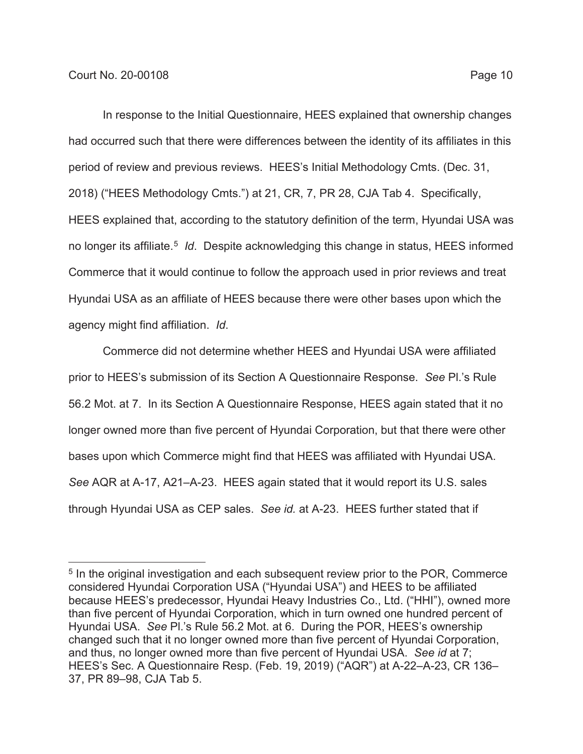In response to the Initial Questionnaire, HEES explained that ownership changes had occurred such that there were differences between the identity of its affiliates in this period of review and previous reviews. HEES's Initial Methodology Cmts. (Dec. 31, 2018) ("HEES Methodology Cmts.") at 21, CR, 7, PR 28, CJA Tab 4. Specifically, HEES explained that, according to the statutory definition of the term, Hyundai USA was no longer its affiliate.5 *Id*. Despite acknowledging this change in status, HEES informed Commerce that it would continue to follow the approach used in prior reviews and treat Hyundai USA as an affiliate of HEES because there were other bases upon which the agency might find affiliation. *Id*.

Commerce did not determine whether HEES and Hyundai USA were affiliated prior to HEES's submission of its Section A Questionnaire Response. *See* Pl.'s Rule 56.2 Mot. at 7. In its Section A Questionnaire Response, HEES again stated that it no longer owned more than five percent of Hyundai Corporation, but that there were other bases upon which Commerce might find that HEES was affiliated with Hyundai USA. *See* AQR at A-17, A21–A-23. HEES again stated that it would report its U.S. sales through Hyundai USA as CEP sales. *See id.* at A-23. HEES further stated that if

<sup>&</sup>lt;sup>5</sup> In the original investigation and each subsequent review prior to the POR, Commerce considered Hyundai Corporation USA ("Hyundai USA") and HEES to be affiliated because HEES's predecessor, Hyundai Heavy Industries Co., Ltd. ("HHI"), owned more than five percent of Hyundai Corporation, which in turn owned one hundred percent of Hyundai USA. *See* Pl.'s Rule 56.2 Mot. at 6. During the POR, HEES's ownership changed such that it no longer owned more than five percent of Hyundai Corporation, and thus, no longer owned more than five percent of Hyundai USA. *See id* at 7; HEES's Sec. A Questionnaire Resp. (Feb. 19, 2019) ("AQR") at A-22–A-23, CR 136– 37, PR 89–98, CJA Tab 5.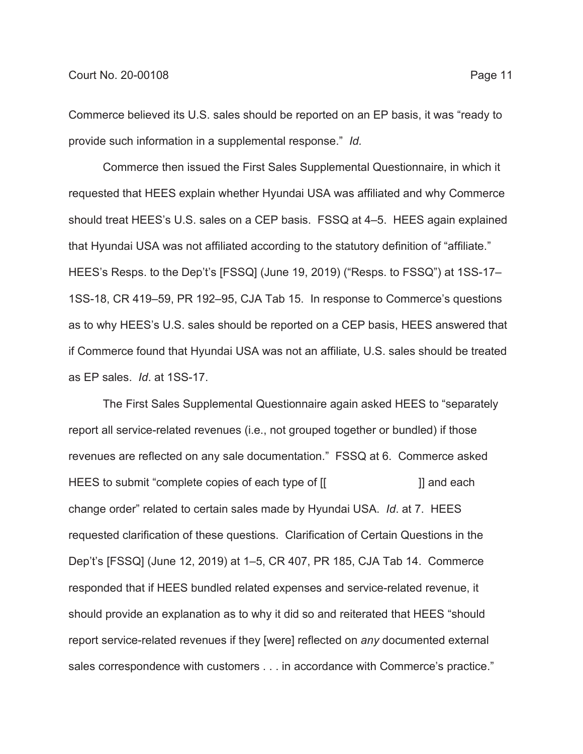Commerce believed its U.S. sales should be reported on an EP basis, it was "ready to provide such information in a supplemental response." *Id.*

Commerce then issued the First Sales Supplemental Questionnaire, in which it requested that HEES explain whether Hyundai USA was affiliated and why Commerce should treat HEES's U.S. sales on a CEP basis. FSSQ at 4–5. HEES again explained that Hyundai USA was not affiliated according to the statutory definition of "affiliate." HEES's Resps. to the Dep't's [FSSQ] (June 19, 2019) ("Resps. to FSSQ") at 1SS-17– 1SS-18, CR 419–59, PR 192–95, CJA Tab 15. In response to Commerce's questions as to why HEES's U.S. sales should be reported on a CEP basis, HEES answered that if Commerce found that Hyundai USA was not an affiliate, U.S. sales should be treated as EP sales. *Id*. at 1SS-17.

The First Sales Supplemental Questionnaire again asked HEES to "separately report all service-related revenues (i.e., not grouped together or bundled) if those revenues are reflected on any sale documentation." FSSQ at 6. Commerce asked HEES to submit "complete copies of each type of [[ ]] and each change order" related to certain sales made by Hyundai USA. *Id*. at 7. HEES requested clarification of these questions. Clarification of Certain Questions in the Dep't's [FSSQ] (June 12, 2019) at 1–5, CR 407, PR 185, CJA Tab 14. Commerce responded that if HEES bundled related expenses and service-related revenue, it should provide an explanation as to why it did so and reiterated that HEES "should report service-related revenues if they [were] reflected on *any* documented external sales correspondence with customers . . . in accordance with Commerce's practice."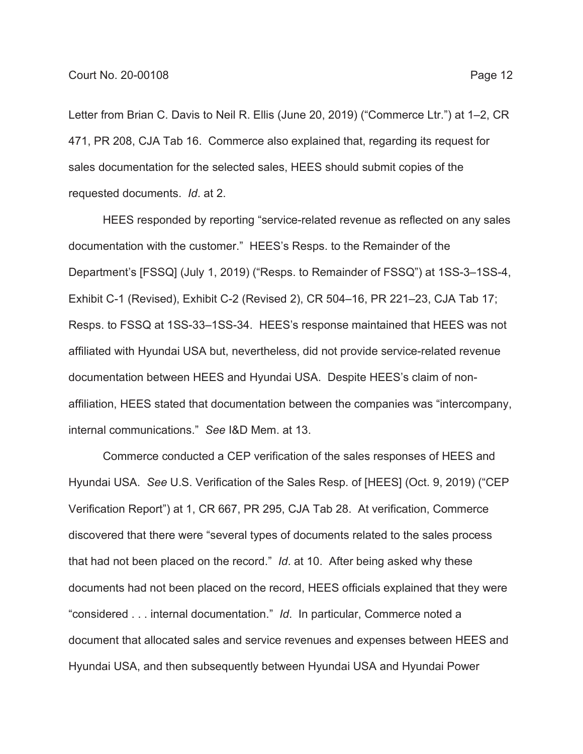Letter from Brian C. Davis to Neil R. Ellis (June 20, 2019) ("Commerce Ltr.") at 1–2, CR 471, PR 208, CJA Tab 16. Commerce also explained that, regarding its request for sales documentation for the selected sales, HEES should submit copies of the requested documents. *Id*. at 2.

HEES responded by reporting "service-related revenue as reflected on any sales documentation with the customer." HEES's Resps. to the Remainder of the Department's [FSSQ] (July 1, 2019) ("Resps. to Remainder of FSSQ") at 1SS-3–1SS-4, Exhibit C-1 (Revised), Exhibit C-2 (Revised 2), CR 504–16, PR 221–23, CJA Tab 17; Resps. to FSSQ at 1SS-33–1SS-34. HEES's response maintained that HEES was not affiliated with Hyundai USA but, nevertheless, did not provide service-related revenue documentation between HEES and Hyundai USA. Despite HEES's claim of nonaffiliation, HEES stated that documentation between the companies was "intercompany, internal communications." *See* I&D Mem. at 13.

Commerce conducted a CEP verification of the sales responses of HEES and Hyundai USA. *See* U.S. Verification of the Sales Resp. of [HEES] (Oct. 9, 2019) ("CEP Verification Report") at 1, CR 667, PR 295, CJA Tab 28. At verification, Commerce discovered that there were "several types of documents related to the sales process that had not been placed on the record." *Id*. at 10. After being asked why these documents had not been placed on the record, HEES officials explained that they were "considered . . . internal documentation." *Id*. In particular, Commerce noted a document that allocated sales and service revenues and expenses between HEES and Hyundai USA, and then subsequently between Hyundai USA and Hyundai Power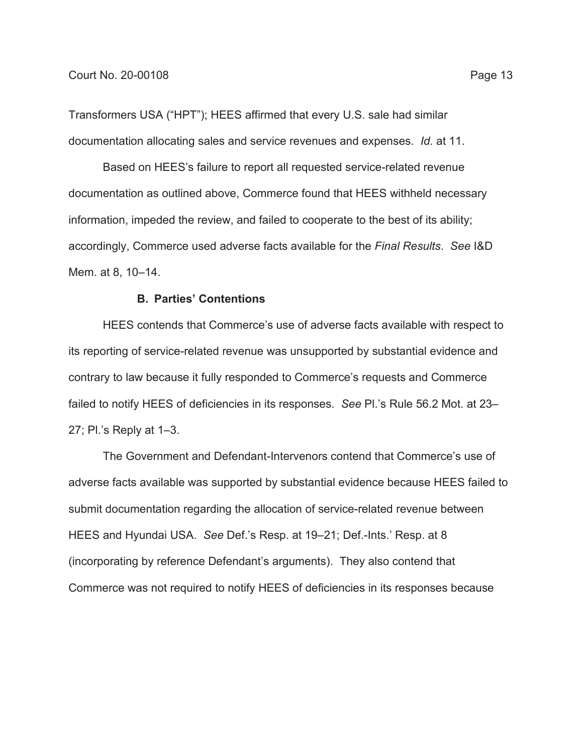Transformers USA ("HPT"); HEES affirmed that every U.S. sale had similar documentation allocating sales and service revenues and expenses. *Id.* at 11.

Based on HEES's failure to report all requested service-related revenue documentation as outlined above, Commerce found that HEES withheld necessary information, impeded the review, and failed to cooperate to the best of its ability; accordingly, Commerce used adverse facts available for the *Final Results*. *See* I&D Mem. at 8, 10–14.

## **B. Parties' Contentions**

HEES contends that Commerce's use of adverse facts available with respect to its reporting of service-related revenue was unsupported by substantial evidence and contrary to law because it fully responded to Commerce's requests and Commerce failed to notify HEES of deficiencies in its responses. *See* Pl.'s Rule 56.2 Mot. at 23– 27; Pl.'s Reply at 1–3.

The Government and Defendant-Intervenors contend that Commerce's use of adverse facts available was supported by substantial evidence because HEES failed to submit documentation regarding the allocation of service-related revenue between HEES and Hyundai USA. *See* Def.'s Resp. at 19–21; Def.-Ints.' Resp. at 8 (incorporating by reference Defendant's arguments). They also contend that Commerce was not required to notify HEES of deficiencies in its responses because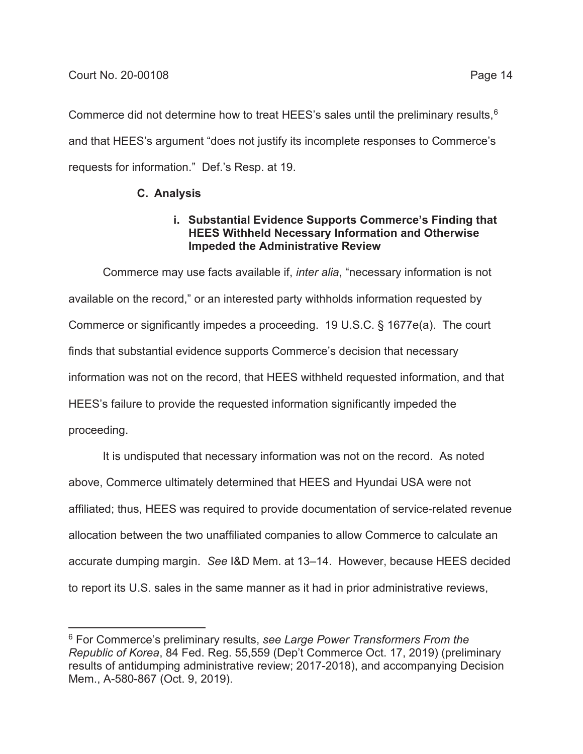Commerce did not determine how to treat HEES's sales until the preliminary results,<sup>6</sup> and that HEES's argument "does not justify its incomplete responses to Commerce's requests for information." Def.'s Resp. at 19.

# **C. Analysis**

## **i. Substantial Evidence Supports Commerce's Finding that HEES Withheld Necessary Information and Otherwise Impeded the Administrative Review**

Commerce may use facts available if, *inter alia*, "necessary information is not available on the record," or an interested party withholds information requested by Commerce or significantly impedes a proceeding. 19 U.S.C. § 1677e(a). The court finds that substantial evidence supports Commerce's decision that necessary information was not on the record, that HEES withheld requested information, and that HEES's failure to provide the requested information significantly impeded the proceeding.

It is undisputed that necessary information was not on the record. As noted above, Commerce ultimately determined that HEES and Hyundai USA were not affiliated; thus, HEES was required to provide documentation of service-related revenue allocation between the two unaffiliated companies to allow Commerce to calculate an accurate dumping margin. *See* I&D Mem. at 13–14. However, because HEES decided to report its U.S. sales in the same manner as it had in prior administrative reviews,

<sup>6</sup> For Commerce's preliminary results, *see Large Power Transformers From the Republic of Korea*, 84 Fed. Reg. 55,559 (Dep't Commerce Oct. 17, 2019) (preliminary results of antidumping administrative review; 2017-2018), and accompanying Decision Mem., A-580-867 (Oct. 9, 2019).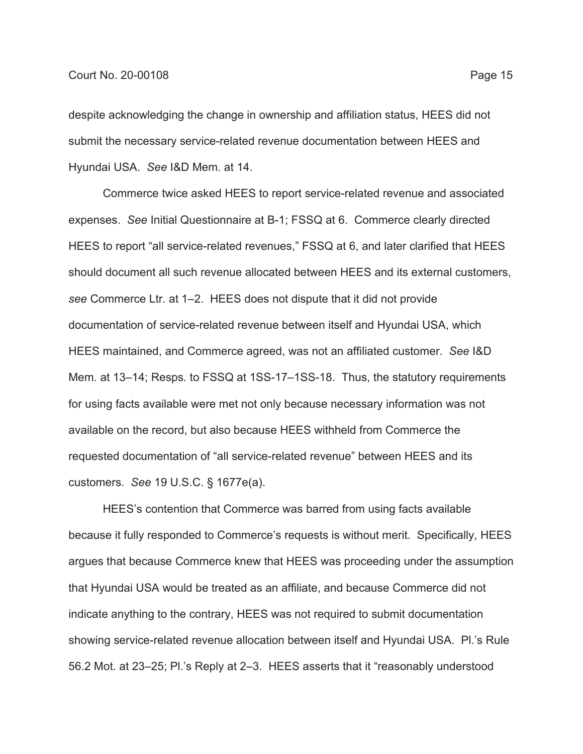despite acknowledging the change in ownership and affiliation status, HEES did not submit the necessary service-related revenue documentation between HEES and Hyundai USA. *See* I&D Mem. at 14.

Commerce twice asked HEES to report service-related revenue and associated expenses. *See* Initial Questionnaire at B-1; FSSQ at 6. Commerce clearly directed HEES to report "all service-related revenues," FSSQ at 6, and later clarified that HEES should document all such revenue allocated between HEES and its external customers, *see* Commerce Ltr. at 1–2. HEES does not dispute that it did not provide documentation of service-related revenue between itself and Hyundai USA, which HEES maintained, and Commerce agreed, was not an affiliated customer. *See* I&D Mem*.* at 13–14; Resps. to FSSQ at 1SS-17–1SS-18. Thus, the statutory requirements for using facts available were met not only because necessary information was not available on the record, but also because HEES withheld from Commerce the requested documentation of "all service-related revenue" between HEES and its customers. *See* 19 U.S.C. § 1677e(a).

HEES's contention that Commerce was barred from using facts available because it fully responded to Commerce's requests is without merit. Specifically, HEES argues that because Commerce knew that HEES was proceeding under the assumption that Hyundai USA would be treated as an affiliate, and because Commerce did not indicate anything to the contrary, HEES was not required to submit documentation showing service-related revenue allocation between itself and Hyundai USA. Pl.'s Rule 56.2 Mot. at 23–25; Pl.'s Reply at 2–3. HEES asserts that it "reasonably understood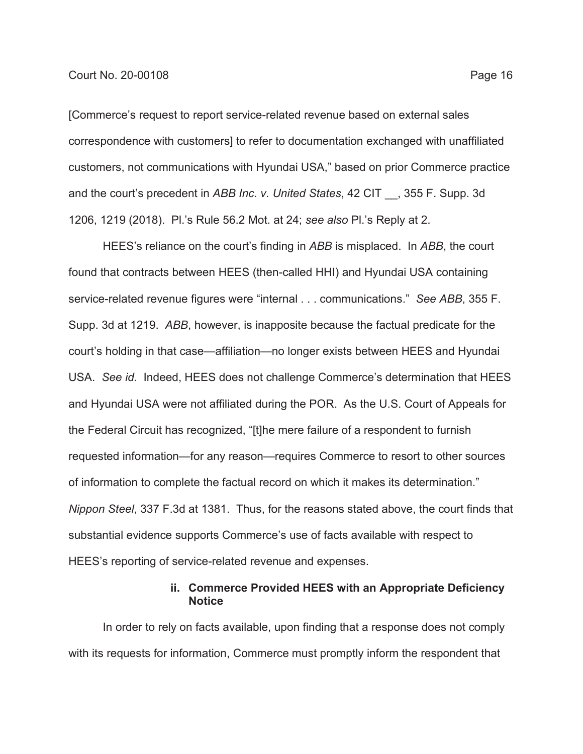[Commerce's request to report service-related revenue based on external sales correspondence with customers] to refer to documentation exchanged with unaffiliated customers, not communications with Hyundai USA," based on prior Commerce practice and the court's precedent in *ABB Inc. v. United States*, 42 CIT \_\_, 355 F. Supp. 3d 1206, 1219 (2018). Pl.'s Rule 56.2 Mot. at 24; *see also* Pl.'s Reply at 2.

HEES's reliance on the court's finding in *ABB* is misplaced. In *ABB*, the court found that contracts between HEES (then-called HHI) and Hyundai USA containing service-related revenue figures were "internal . . . communications." *See ABB*, 355 F. Supp. 3d at 1219. *ABB*, however, is inapposite because the factual predicate for the court's holding in that case—affiliation—no longer exists between HEES and Hyundai USA. *See id.* Indeed, HEES does not challenge Commerce's determination that HEES and Hyundai USA were not affiliated during the POR. As the U.S. Court of Appeals for the Federal Circuit has recognized, "[t]he mere failure of a respondent to furnish requested information—for any reason—requires Commerce to resort to other sources of information to complete the factual record on which it makes its determination." *Nippon Steel*, 337 F.3d at 1381. Thus, for the reasons stated above, the court finds that substantial evidence supports Commerce's use of facts available with respect to HEES's reporting of service-related revenue and expenses.

## **ii. Commerce Provided HEES with an Appropriate Deficiency Notice**

In order to rely on facts available, upon finding that a response does not comply with its requests for information, Commerce must promptly inform the respondent that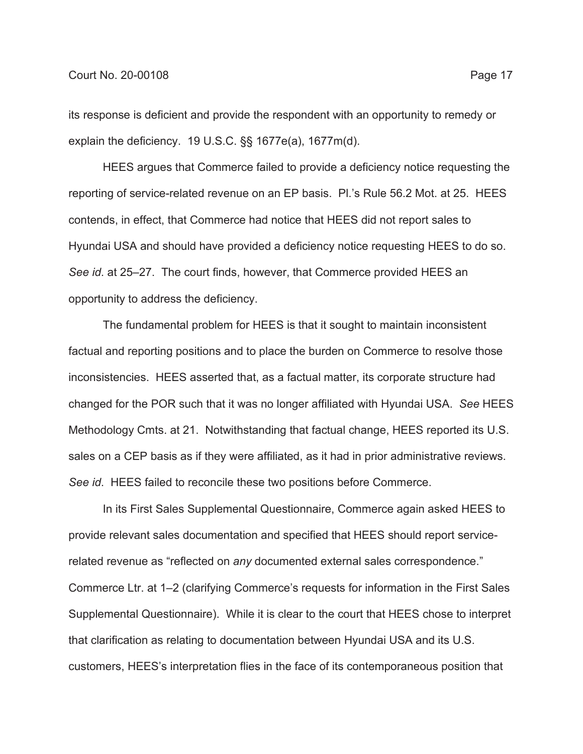its response is deficient and provide the respondent with an opportunity to remedy or explain the deficiency. 19 U.S.C. §§ 1677e(a), 1677m(d).

HEES argues that Commerce failed to provide a deficiency notice requesting the reporting of service-related revenue on an EP basis. Pl.'s Rule 56.2 Mot. at 25. HEES contends, in effect, that Commerce had notice that HEES did not report sales to Hyundai USA and should have provided a deficiency notice requesting HEES to do so. *See id*. at 25–27. The court finds, however, that Commerce provided HEES an opportunity to address the deficiency.

The fundamental problem for HEES is that it sought to maintain inconsistent factual and reporting positions and to place the burden on Commerce to resolve those inconsistencies. HEES asserted that, as a factual matter, its corporate structure had changed for the POR such that it was no longer affiliated with Hyundai USA. *See* HEES Methodology Cmts. at 21. Notwithstanding that factual change, HEES reported its U.S. sales on a CEP basis as if they were affiliated, as it had in prior administrative reviews. *See id*. HEES failed to reconcile these two positions before Commerce.

In its First Sales Supplemental Questionnaire, Commerce again asked HEES to provide relevant sales documentation and specified that HEES should report servicerelated revenue as "reflected on *any* documented external sales correspondence." Commerce Ltr. at 1–2 (clarifying Commerce's requests for information in the First Sales Supplemental Questionnaire). While it is clear to the court that HEES chose to interpret that clarification as relating to documentation between Hyundai USA and its U.S. customers, HEES's interpretation flies in the face of its contemporaneous position that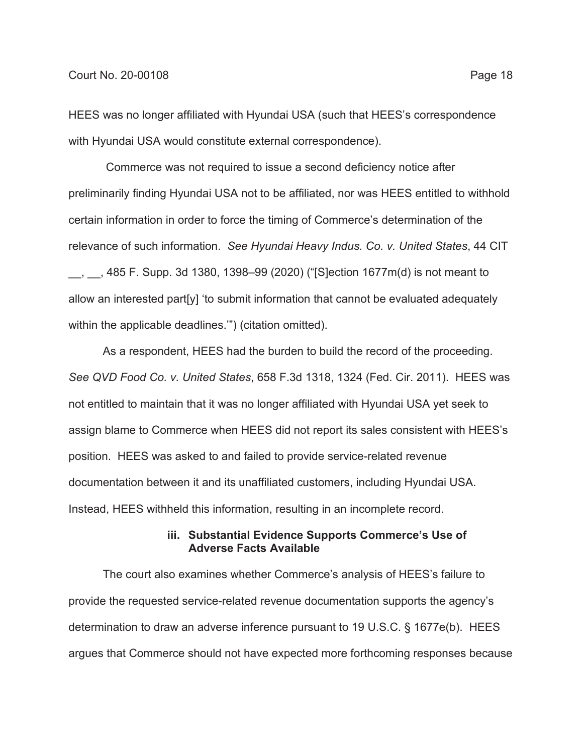HEES was no longer affiliated with Hyundai USA (such that HEES's correspondence with Hyundai USA would constitute external correspondence).

 Commerce was not required to issue a second deficiency notice after preliminarily finding Hyundai USA not to be affiliated, nor was HEES entitled to withhold certain information in order to force the timing of Commerce's determination of the relevance of such information. *See Hyundai Heavy Indus. Co. v. United States*, 44 CIT  $\_$ ,  $\_$ , 485 F. Supp. 3d 1380, 1398–99 (2020) ("[S]ection 1677m(d) is not meant to allow an interested part[y] 'to submit information that cannot be evaluated adequately within the applicable deadlines."") (citation omitted).

As a respondent, HEES had the burden to build the record of the proceeding. *See QVD Food Co. v. United States*, 658 F.3d 1318, 1324 (Fed. Cir. 2011). HEES was not entitled to maintain that it was no longer affiliated with Hyundai USA yet seek to assign blame to Commerce when HEES did not report its sales consistent with HEES's position. HEES was asked to and failed to provide service-related revenue documentation between it and its unaffiliated customers, including Hyundai USA. Instead, HEES withheld this information, resulting in an incomplete record.

## **iii. Substantial Evidence Supports Commerce's Use of Adverse Facts Available**

The court also examines whether Commerce's analysis of HEES's failure to provide the requested service-related revenue documentation supports the agency's determination to draw an adverse inference pursuant to 19 U.S.C. § 1677e(b). HEES argues that Commerce should not have expected more forthcoming responses because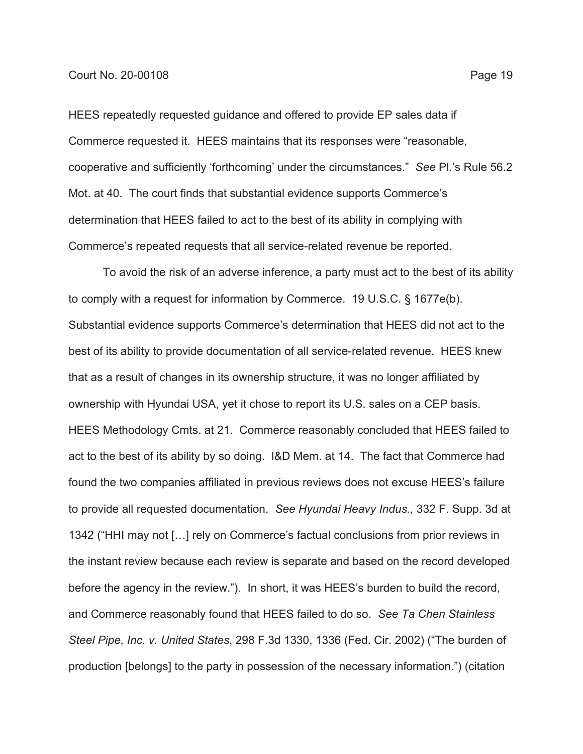HEES repeatedly requested guidance and offered to provide EP sales data if Commerce requested it. HEES maintains that its responses were "reasonable, cooperative and sufficiently 'forthcoming' under the circumstances." *See* Pl.'s Rule 56.2 Mot. at 40. The court finds that substantial evidence supports Commerce's determination that HEES failed to act to the best of its ability in complying with Commerce's repeated requests that all service-related revenue be reported.

To avoid the risk of an adverse inference, a party must act to the best of its ability to comply with a request for information by Commerce. 19 U.S.C. § 1677e(b). Substantial evidence supports Commerce's determination that HEES did not act to the best of its ability to provide documentation of all service-related revenue. HEES knew that as a result of changes in its ownership structure, it was no longer affiliated by ownership with Hyundai USA, yet it chose to report its U.S. sales on a CEP basis. HEES Methodology Cmts. at 21. Commerce reasonably concluded that HEES failed to act to the best of its ability by so doing. I&D Mem. at 14. The fact that Commerce had found the two companies affiliated in previous reviews does not excuse HEES's failure to provide all requested documentation. *See Hyundai Heavy Indus.,* 332 F. Supp. 3d at 1342 ("HHI may not […] rely on Commerce's factual conclusions from prior reviews in the instant review because each review is separate and based on the record developed before the agency in the review."). In short, it was HEES's burden to build the record, and Commerce reasonably found that HEES failed to do so. *See Ta Chen Stainless Steel Pipe, Inc. v. United States*, 298 F.3d 1330, 1336 (Fed. Cir. 2002) ("The burden of production [belongs] to the party in possession of the necessary information.") (citation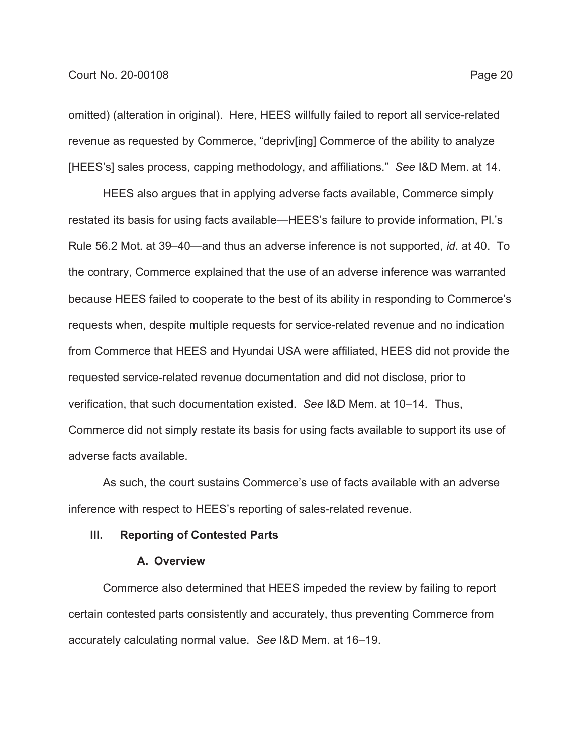omitted) (alteration in original). Here, HEES willfully failed to report all service-related revenue as requested by Commerce, "depriv[ing] Commerce of the ability to analyze [HEES's] sales process, capping methodology, and affiliations." *See* I&D Mem. at 14.

HEES also argues that in applying adverse facts available, Commerce simply restated its basis for using facts available—HEES's failure to provide information, Pl.'s Rule 56.2 Mot. at 39–40—and thus an adverse inference is not supported, *id*. at 40. To the contrary, Commerce explained that the use of an adverse inference was warranted because HEES failed to cooperate to the best of its ability in responding to Commerce's requests when, despite multiple requests for service-related revenue and no indication from Commerce that HEES and Hyundai USA were affiliated, HEES did not provide the requested service-related revenue documentation and did not disclose, prior to verification, that such documentation existed. *See* I&D Mem. at 10–14*.* Thus, Commerce did not simply restate its basis for using facts available to support its use of adverse facts available.

As such, the court sustains Commerce's use of facts available with an adverse inference with respect to HEES's reporting of sales-related revenue.

## **III. Reporting of Contested Parts**

## **A. Overview**

Commerce also determined that HEES impeded the review by failing to report certain contested parts consistently and accurately, thus preventing Commerce from accurately calculating normal value. *See* I&D Mem. at 16–19.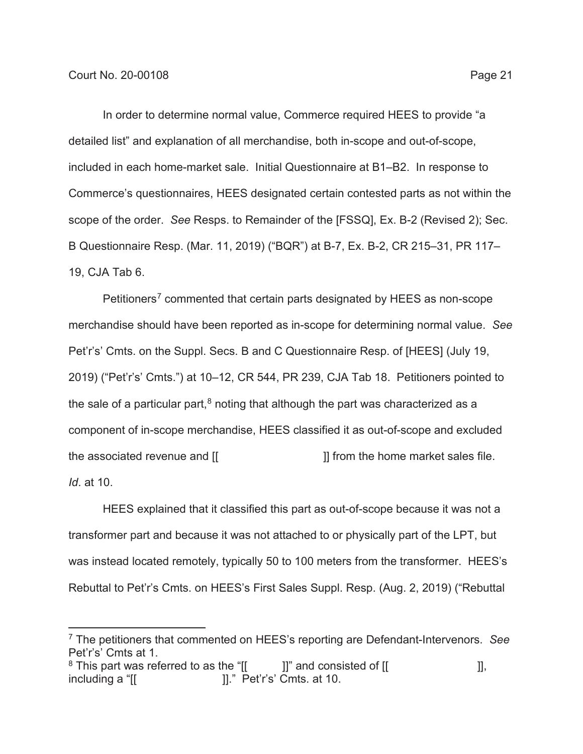In order to determine normal value, Commerce required HEES to provide "a detailed list" and explanation of all merchandise, both in-scope and out-of-scope, included in each home-market sale. Initial Questionnaire at B1–B2. In response to Commerce's questionnaires, HEES designated certain contested parts as not within the scope of the order. *See* Resps. to Remainder of the [FSSQ], Ex. B-2 (Revised 2); Sec. B Questionnaire Resp. (Mar. 11, 2019) ("BQR") at B-7, Ex. B-2, CR 215–31, PR 117– 19, CJA Tab 6.

Petitioners<sup>7</sup> commented that certain parts designated by HEES as non-scope merchandise should have been reported as in-scope for determining normal value. *See* Pet'r's' Cmts. on the Suppl. Secs. B and C Questionnaire Resp. of [HEES] (July 19, 2019) ("Pet'r's' Cmts.") at 10–12, CR 544, PR 239, CJA Tab 18. Petitioners pointed to the sale of a particular part, $8$  noting that although the part was characterized as a component of in-scope merchandise, HEES classified it as out-of-scope and excluded the associated revenue and [[  $\qquad \qquad$  ]] from the home market sales file. *Id*. at 10.

HEES explained that it classified this part as out-of-scope because it was not a transformer part and because it was not attached to or physically part of the LPT, but was instead located remotely, typically 50 to 100 meters from the transformer. HEES's Rebuttal to Pet'r's Cmts. on HEES's First Sales Suppl. Resp. (Aug. 2, 2019) ("Rebuttal

<sup>7</sup> The petitioners that commented on HEES's reporting are Defendant-Intervenors. *See* Pet'r's' Cmts at 1.

 $8$  This part was referred to as the "[[ ]]" and consisted of [[  $\qquad$  ]],  $\blacksquare$ including a " $\blacksquare$   $\blacksquare$ ]. " Pet'r's' Cmts. at 10.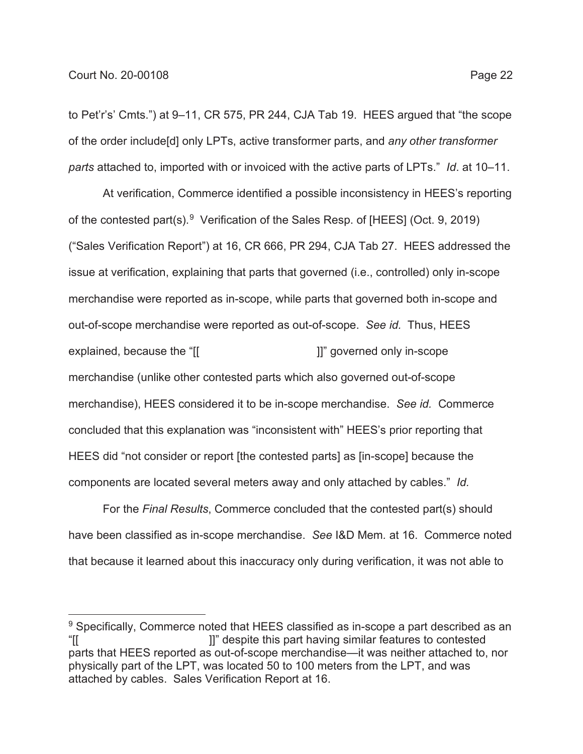to Pet'r's' Cmts.") at 9–11, CR 575, PR 244, CJA Tab 19. HEES argued that "the scope of the order include[d] only LPTs, active transformer parts, and *any other transformer parts* attached to, imported with or invoiced with the active parts of LPTs." *Id*. at 10–11.

At verification, Commerce identified a possible inconsistency in HEES's reporting of the contested part(s).<sup>9</sup> Verification of the Sales Resp. of [HEES] (Oct. 9, 2019) ("Sales Verification Report") at 16, CR 666, PR 294, CJA Tab 27. HEES addressed the issue at verification, explaining that parts that governed (i.e., controlled) only in-scope merchandise were reported as in-scope, while parts that governed both in-scope and out-of-scope merchandise were reported as out-of-scope. *See id.* Thus, HEES explained, because the "[[  $\qquad \qquad$  ]]" governed only in-scope merchandise (unlike other contested parts which also governed out-of-scope merchandise), HEES considered it to be in-scope merchandise. *See id.* Commerce concluded that this explanation was "inconsistent with" HEES's prior reporting that HEES did "not consider or report [the contested parts] as [in-scope] because the components are located several meters away and only attached by cables." *Id.*

For the *Final Results*, Commerce concluded that the contested part(s) should have been classified as in-scope merchandise. *See* I&D Mem*.* at 16. Commerce noted that because it learned about this inaccuracy only during verification, it was not able to

<sup>&</sup>lt;sup>9</sup> Specifically, Commerce noted that HEES classified as in-scope a part described as an "[[ ]]" despite this part having similar features to contested parts that HEES reported as out-of-scope merchandise—it was neither attached to, nor physically part of the LPT, was located 50 to 100 meters from the LPT, and was attached by cables. Sales Verification Report at 16.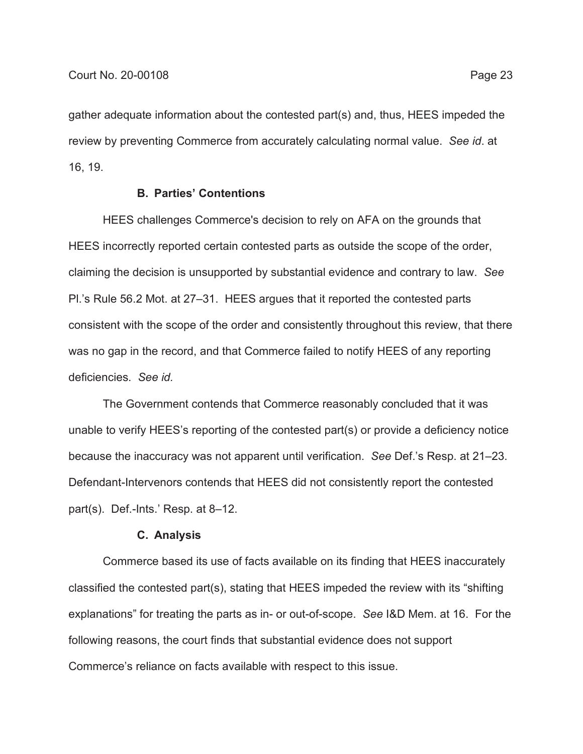gather adequate information about the contested part(s) and, thus, HEES impeded the review by preventing Commerce from accurately calculating normal value. *See id*. at 16, 19.

## **B. Parties' Contentions**

HEES challenges Commerce's decision to rely on AFA on the grounds that HEES incorrectly reported certain contested parts as outside the scope of the order, claiming the decision is unsupported by substantial evidence and contrary to law. *See* Pl.'s Rule 56.2 Mot. at 27–31. HEES argues that it reported the contested parts consistent with the scope of the order and consistently throughout this review, that there was no gap in the record, and that Commerce failed to notify HEES of any reporting deficiencies. *See id.*

The Government contends that Commerce reasonably concluded that it was unable to verify HEES's reporting of the contested part(s) or provide a deficiency notice because the inaccuracy was not apparent until verification. *See* Def.'s Resp. at 21–23. Defendant-Intervenors contends that HEES did not consistently report the contested part(s). Def.-Ints.' Resp. at 8–12.

### **C. Analysis**

Commerce based its use of facts available on its finding that HEES inaccurately classified the contested part(s), stating that HEES impeded the review with its "shifting explanations" for treating the parts as in- or out-of-scope. *See* I&D Mem. at 16. For the following reasons, the court finds that substantial evidence does not support Commerce's reliance on facts available with respect to this issue.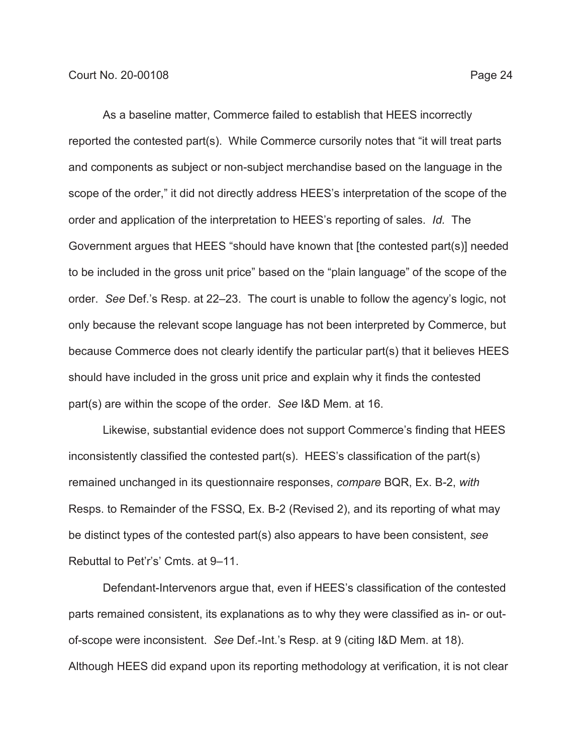As a baseline matter, Commerce failed to establish that HEES incorrectly reported the contested part(s). While Commerce cursorily notes that "it will treat parts and components as subject or non-subject merchandise based on the language in the scope of the order," it did not directly address HEES's interpretation of the scope of the order and application of the interpretation to HEES's reporting of sales. *Id.* The Government argues that HEES "should have known that [the contested part(s)] needed to be included in the gross unit price" based on the "plain language" of the scope of the order. *See* Def.'s Resp. at 22–23. The court is unable to follow the agency's logic, not only because the relevant scope language has not been interpreted by Commerce, but because Commerce does not clearly identify the particular part(s) that it believes HEES should have included in the gross unit price and explain why it finds the contested part(s) are within the scope of the order. *See* I&D Mem. at 16.

Likewise, substantial evidence does not support Commerce's finding that HEES inconsistently classified the contested part(s). HEES's classification of the part(s) remained unchanged in its questionnaire responses, *compare* BQR, Ex. B-2, *with* Resps. to Remainder of the FSSQ, Ex. B-2 (Revised 2), and its reporting of what may be distinct types of the contested part(s) also appears to have been consistent, *see* Rebuttal to Pet'r's' Cmts. at 9–11.

Defendant-Intervenors argue that, even if HEES's classification of the contested parts remained consistent, its explanations as to why they were classified as in- or outof-scope were inconsistent. *See* Def.-Int.'s Resp. at 9 (citing I&D Mem. at 18). Although HEES did expand upon its reporting methodology at verification, it is not clear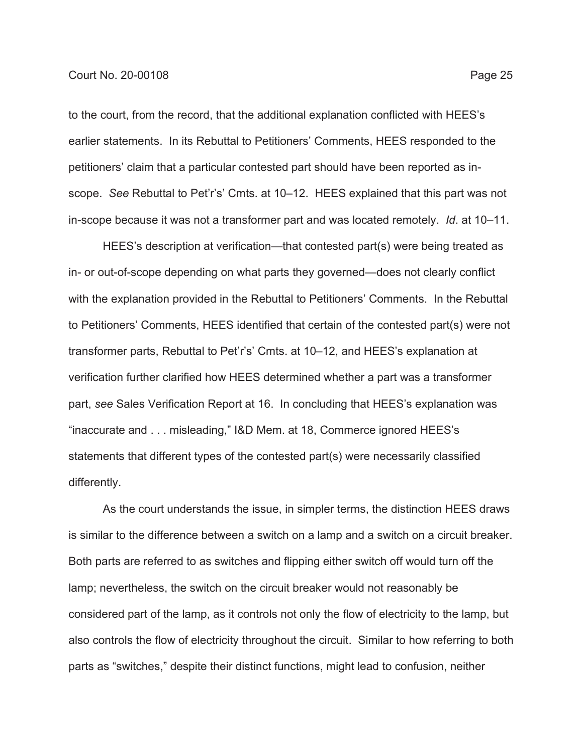to the court, from the record, that the additional explanation conflicted with HEES's earlier statements. In its Rebuttal to Petitioners' Comments, HEES responded to the petitioners' claim that a particular contested part should have been reported as inscope. *See* Rebuttal to Pet'r's' Cmts. at 10–12. HEES explained that this part was not in-scope because it was not a transformer part and was located remotely. *Id*. at 10–11.

HEES's description at verification—that contested part(s) were being treated as in- or out-of-scope depending on what parts they governed—does not clearly conflict with the explanation provided in the Rebuttal to Petitioners' Comments. In the Rebuttal to Petitioners' Comments, HEES identified that certain of the contested part(s) were not transformer parts, Rebuttal to Pet'r's' Cmts. at 10–12, and HEES's explanation at verification further clarified how HEES determined whether a part was a transformer part, *see* Sales Verification Report at 16. In concluding that HEES's explanation was "inaccurate and . . . misleading," I&D Mem. at 18, Commerce ignored HEES's statements that different types of the contested part(s) were necessarily classified differently.

As the court understands the issue, in simpler terms, the distinction HEES draws is similar to the difference between a switch on a lamp and a switch on a circuit breaker. Both parts are referred to as switches and flipping either switch off would turn off the lamp; nevertheless, the switch on the circuit breaker would not reasonably be considered part of the lamp, as it controls not only the flow of electricity to the lamp, but also controls the flow of electricity throughout the circuit. Similar to how referring to both parts as "switches," despite their distinct functions, might lead to confusion, neither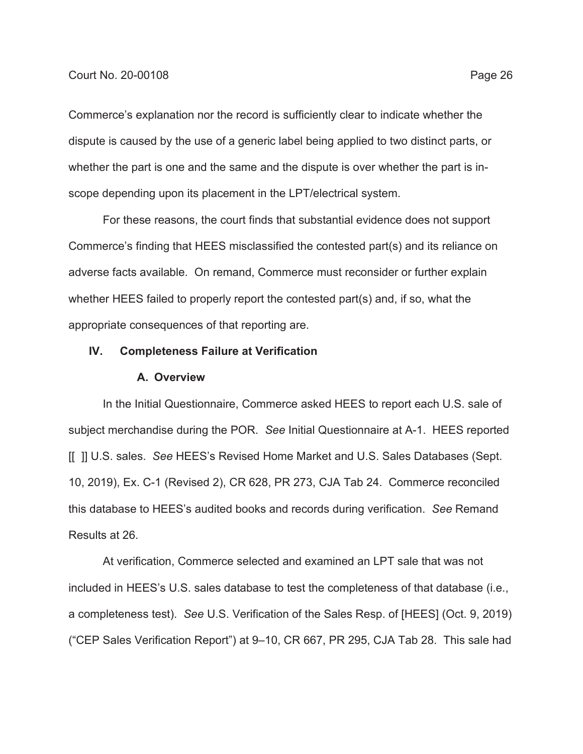Commerce's explanation nor the record is sufficiently clear to indicate whether the dispute is caused by the use of a generic label being applied to two distinct parts, or whether the part is one and the same and the dispute is over whether the part is inscope depending upon its placement in the LPT/electrical system.

For these reasons, the court finds that substantial evidence does not support Commerce's finding that HEES misclassified the contested part(s) and its reliance on adverse facts available. On remand, Commerce must reconsider or further explain whether HEES failed to properly report the contested part(s) and, if so, what the appropriate consequences of that reporting are.

## **IV. Completeness Failure at Verification**

#### **A. Overview**

In the Initial Questionnaire, Commerce asked HEES to report each U.S. sale of subject merchandise during the POR. *See* Initial Questionnaire at A-1. HEES reported [[ ]] U.S. sales. *See* HEES's Revised Home Market and U.S. Sales Databases (Sept. 10, 2019), Ex. C-1 (Revised 2), CR 628, PR 273, CJA Tab 24. Commerce reconciled this database to HEES's audited books and records during verification. *See* Remand Results at 26.

At verification, Commerce selected and examined an LPT sale that was not included in HEES's U.S. sales database to test the completeness of that database (i.e., a completeness test). *See* U.S. Verification of the Sales Resp. of [HEES] (Oct. 9, 2019) ("CEP Sales Verification Report") at 9–10, CR 667, PR 295, CJA Tab 28. This sale had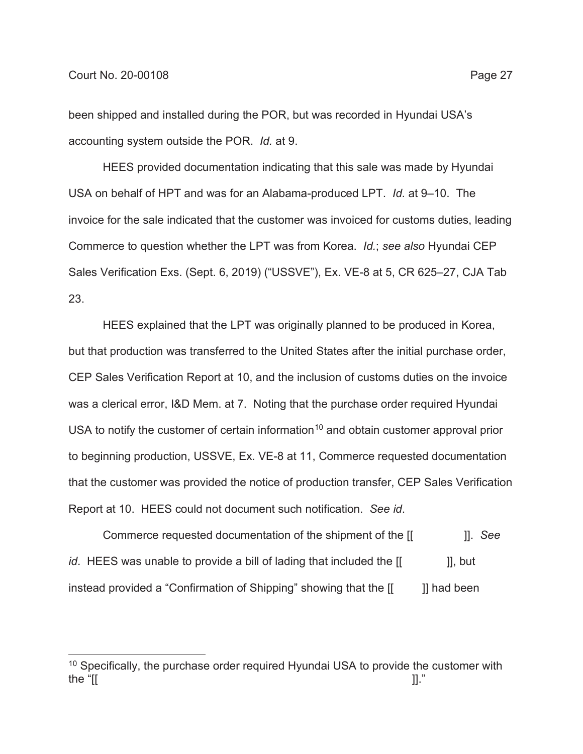been shipped and installed during the POR, but was recorded in Hyundai USA's accounting system outside the POR. *Id.* at 9.

HEES provided documentation indicating that this sale was made by Hyundai USA on behalf of HPT and was for an Alabama-produced LPT. *Id.* at 9–10. The invoice for the sale indicated that the customer was invoiced for customs duties, leading Commerce to question whether the LPT was from Korea. *Id.*; *see also* Hyundai CEP Sales Verification Exs. (Sept. 6, 2019) ("USSVE"), Ex. VE-8 at 5, CR 625–27, CJA Tab 23.

HEES explained that the LPT was originally planned to be produced in Korea, but that production was transferred to the United States after the initial purchase order, CEP Sales Verification Report at 10, and the inclusion of customs duties on the invoice was a clerical error, I&D Mem. at 7. Noting that the purchase order required Hyundai USA to notify the customer of certain information<sup>10</sup> and obtain customer approval prior to beginning production, USSVE, Ex. VE-8 at 11, Commerce requested documentation that the customer was provided the notice of production transfer, CEP Sales Verification Report at 10. HEES could not document such notification. *See id*.

Commerce requested documentation of the shipment of the [[ ]]. *See id*. HEES was unable to provide a bill of lading that included the [[  $\qquad$  ]], but instead provided a "Confirmation of Shipping" showing that the  $\begin{bmatrix} 1 \\ 1 \end{bmatrix}$  had been

<sup>&</sup>lt;sup>10</sup> Specifically, the purchase order required Hyundai USA to provide the customer with the "[[  $\hskip 1.0cm \Box$ ]]."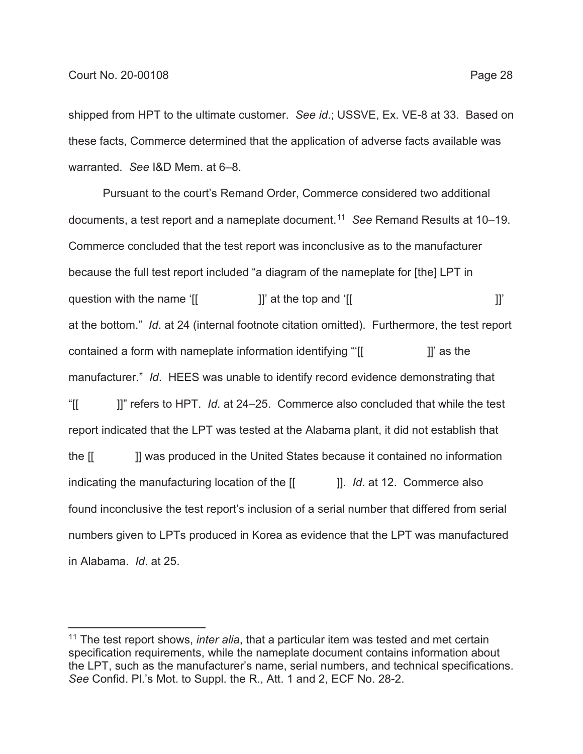shipped from HPT to the ultimate customer. *See id*.; USSVE, Ex. VE-8 at 33. Based on these facts, Commerce determined that the application of adverse facts available was warranted. *See* I&D Mem. at 6–8.

Pursuant to the court's Remand Order, Commerce considered two additional documents, a test report and a nameplate document.11 *See* Remand Results at 10–19. Commerce concluded that the test report was inconclusive as to the manufacturer because the full test report included "a diagram of the nameplate for [the] LPT in question with the name ' $[$   $]$ ' at the top and ' $[$ at the bottom." *Id*. at 24 (internal footnote citation omitted). Furthermore, the test report contained a form with nameplate information identifying "[[  $\qquad$  ]]' as the manufacturer." *Id*. HEES was unable to identify record evidence demonstrating that "[[ ]]" refers to HPT. *Id*. at 24–25. Commerce also concluded that while the test report indicated that the LPT was tested at the Alabama plant, it did not establish that the [[ ]] was produced in the United States because it contained no information indicating the manufacturing location of the  $\begin{bmatrix} 1 & 1 \end{bmatrix}$ . *Id.* at 12. Commerce also found inconclusive the test report's inclusion of a serial number that differed from serial numbers given to LPTs produced in Korea as evidence that the LPT was manufactured in Alabama. *Id*. at 25.

<sup>11</sup> The test report shows, *inter alia*, that a particular item was tested and met certain specification requirements, while the nameplate document contains information about the LPT, such as the manufacturer's name, serial numbers, and technical specifications. *See* Confid. Pl.'s Mot. to Suppl. the R., Att. 1 and 2, ECF No. 28-2.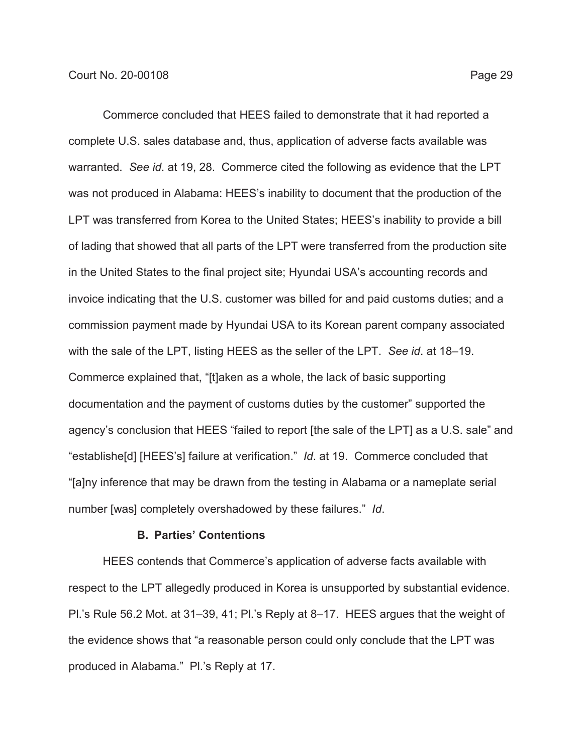Commerce concluded that HEES failed to demonstrate that it had reported a complete U.S. sales database and, thus, application of adverse facts available was warranted. *See id*. at 19, 28. Commerce cited the following as evidence that the LPT was not produced in Alabama: HEES's inability to document that the production of the LPT was transferred from Korea to the United States; HEES's inability to provide a bill of lading that showed that all parts of the LPT were transferred from the production site in the United States to the final project site; Hyundai USA's accounting records and invoice indicating that the U.S. customer was billed for and paid customs duties; and a commission payment made by Hyundai USA to its Korean parent company associated with the sale of the LPT, listing HEES as the seller of the LPT. *See id*. at 18–19. Commerce explained that, "[t]aken as a whole, the lack of basic supporting documentation and the payment of customs duties by the customer" supported the agency's conclusion that HEES "failed to report [the sale of the LPT] as a U.S. sale" and "establishe[d] [HEES's] failure at verification." *Id*. at 19. Commerce concluded that "[a]ny inference that may be drawn from the testing in Alabama or a nameplate serial number [was] completely overshadowed by these failures." *Id*.

## **B. Parties' Contentions**

HEES contends that Commerce's application of adverse facts available with respect to the LPT allegedly produced in Korea is unsupported by substantial evidence. Pl.'s Rule 56.2 Mot. at 31–39, 41; Pl.'s Reply at 8–17. HEES argues that the weight of the evidence shows that "a reasonable person could only conclude that the LPT was produced in Alabama." Pl.'s Reply at 17.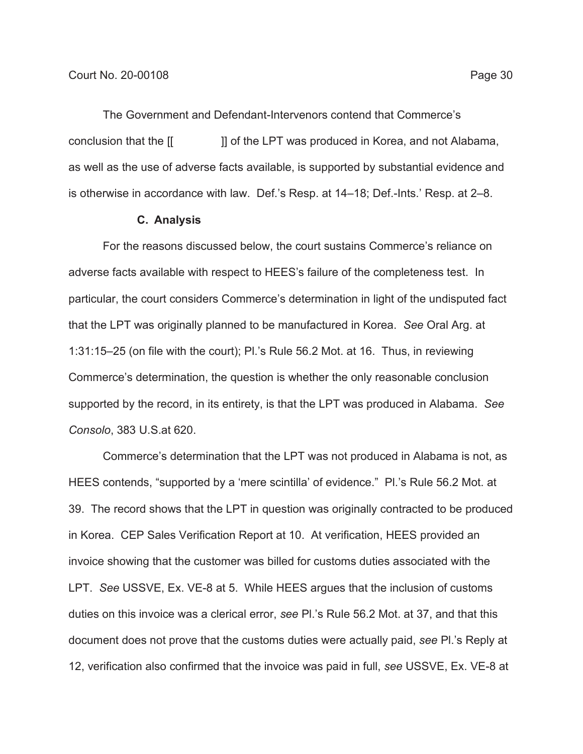The Government and Defendant-Intervenors contend that Commerce's conclusion that the [[ ]] of the LPT was produced in Korea, and not Alabama, as well as the use of adverse facts available, is supported by substantial evidence and is otherwise in accordance with law. Def.'s Resp. at 14–18; Def.-Ints.' Resp. at 2–8.

#### **C. Analysis**

For the reasons discussed below, the court sustains Commerce's reliance on adverse facts available with respect to HEES's failure of the completeness test. In particular, the court considers Commerce's determination in light of the undisputed fact that the LPT was originally planned to be manufactured in Korea. *See* Oral Arg. at 1:31:15–25 (on file with the court); Pl.'s Rule 56.2 Mot. at 16. Thus, in reviewing Commerce's determination, the question is whether the only reasonable conclusion supported by the record, in its entirety, is that the LPT was produced in Alabama. *See Consolo*, 383 U.S.at 620.

Commerce's determination that the LPT was not produced in Alabama is not, as HEES contends, "supported by a 'mere scintilla' of evidence." Pl.'s Rule 56.2 Mot. at 39. The record shows that the LPT in question was originally contracted to be produced in Korea. CEP Sales Verification Report at 10. At verification, HEES provided an invoice showing that the customer was billed for customs duties associated with the LPT. *See* USSVE, Ex. VE-8 at 5. While HEES argues that the inclusion of customs duties on this invoice was a clerical error, *see* Pl.'s Rule 56.2 Mot. at 37, and that this document does not prove that the customs duties were actually paid, *see* Pl.'s Reply at 12, verification also confirmed that the invoice was paid in full, *see* USSVE, Ex. VE-8 at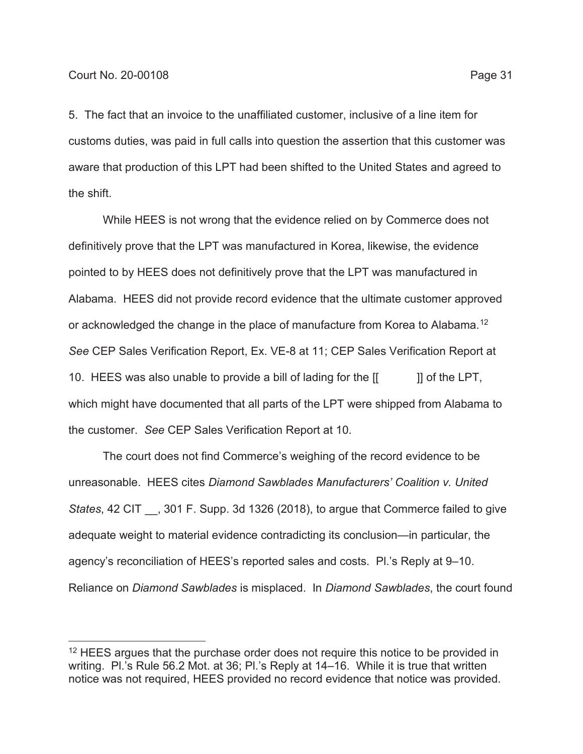5. The fact that an invoice to the unaffiliated customer, inclusive of a line item for customs duties, was paid in full calls into question the assertion that this customer was aware that production of this LPT had been shifted to the United States and agreed to the shift.

While HEES is not wrong that the evidence relied on by Commerce does not definitively prove that the LPT was manufactured in Korea, likewise, the evidence pointed to by HEES does not definitively prove that the LPT was manufactured in Alabama. HEES did not provide record evidence that the ultimate customer approved or acknowledged the change in the place of manufacture from Korea to Alabama.12 *See* CEP Sales Verification Report, Ex. VE-8 at 11; CEP Sales Verification Report at 10. HEES was also unable to provide a bill of lading for the  $[[ \quad ]]$  of the LPT, which might have documented that all parts of the LPT were shipped from Alabama to the customer. *See* CEP Sales Verification Report at 10.

The court does not find Commerce's weighing of the record evidence to be unreasonable. HEES cites *Diamond Sawblades Manufacturers' Coalition v. United States*, 42 CIT \_\_, 301 F. Supp. 3d 1326 (2018), to argue that Commerce failed to give adequate weight to material evidence contradicting its conclusion—in particular, the agency's reconciliation of HEES's reported sales and costs. Pl.'s Reply at 9–10. Reliance on *Diamond Sawblades* is misplaced. In *Diamond Sawblades*, the court found

 $12$  HEES argues that the purchase order does not require this notice to be provided in writing. Pl.'s Rule 56.2 Mot. at 36; Pl.'s Reply at 14–16. While it is true that written notice was not required, HEES provided no record evidence that notice was provided.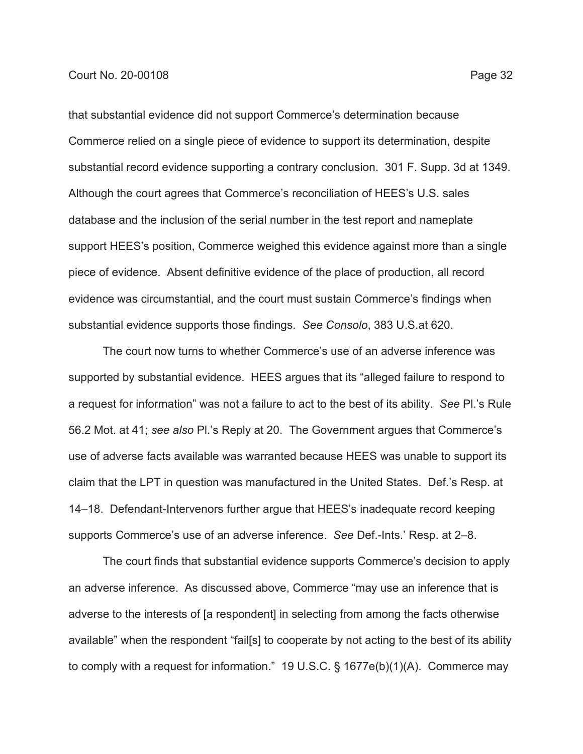that substantial evidence did not support Commerce's determination because Commerce relied on a single piece of evidence to support its determination, despite substantial record evidence supporting a contrary conclusion. 301 F. Supp. 3d at 1349. Although the court agrees that Commerce's reconciliation of HEES's U.S. sales database and the inclusion of the serial number in the test report and nameplate support HEES's position, Commerce weighed this evidence against more than a single piece of evidence. Absent definitive evidence of the place of production, all record evidence was circumstantial, and the court must sustain Commerce's findings when substantial evidence supports those findings. *See Consolo*, 383 U.S.at 620.

The court now turns to whether Commerce's use of an adverse inference was supported by substantial evidence. HEES argues that its "alleged failure to respond to a request for information" was not a failure to act to the best of its ability. *See* Pl.'s Rule 56.2 Mot. at 41; *see also* Pl.'s Reply at 20. The Government argues that Commerce's use of adverse facts available was warranted because HEES was unable to support its claim that the LPT in question was manufactured in the United States. Def.'s Resp. at 14–18. Defendant-Intervenors further argue that HEES's inadequate record keeping supports Commerce's use of an adverse inference. *See* Def.-Ints.' Resp. at 2–8.

The court finds that substantial evidence supports Commerce's decision to apply an adverse inference. As discussed above, Commerce "may use an inference that is adverse to the interests of [a respondent] in selecting from among the facts otherwise available" when the respondent "fail[s] to cooperate by not acting to the best of its ability to comply with a request for information." 19 U.S.C. § 1677e(b)(1)(A). Commerce may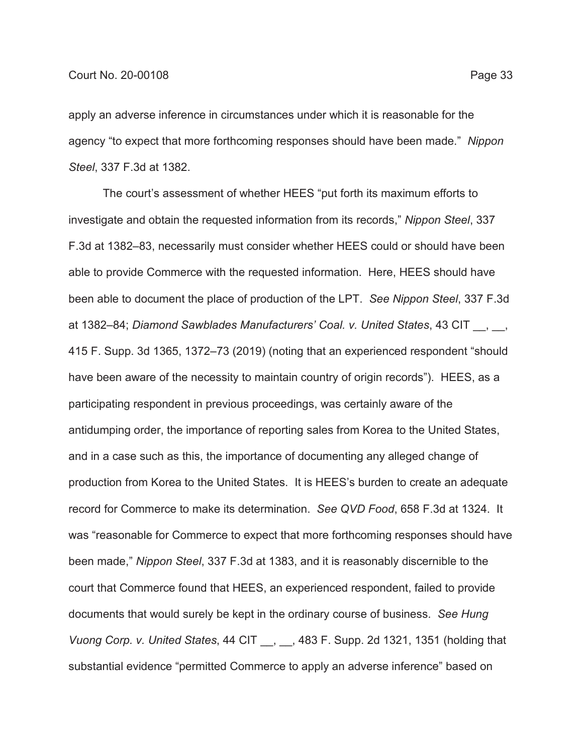apply an adverse inference in circumstances under which it is reasonable for the agency "to expect that more forthcoming responses should have been made." *Nippon Steel*, 337 F.3d at 1382.

The court's assessment of whether HEES "put forth its maximum efforts to investigate and obtain the requested information from its records," *Nippon Steel*, 337 F.3d at 1382–83, necessarily must consider whether HEES could or should have been able to provide Commerce with the requested information. Here, HEES should have been able to document the place of production of the LPT. *See Nippon Steel*, 337 F.3d at 1382–84; *Diamond Sawblades Manufacturers' Coal. v. United States*, 43 CIT . 415 F. Supp. 3d 1365, 1372–73 (2019) (noting that an experienced respondent "should have been aware of the necessity to maintain country of origin records"). HEES, as a participating respondent in previous proceedings, was certainly aware of the antidumping order, the importance of reporting sales from Korea to the United States, and in a case such as this, the importance of documenting any alleged change of production from Korea to the United States. It is HEES's burden to create an adequate record for Commerce to make its determination. *See QVD Food*, 658 F.3d at 1324. It was "reasonable for Commerce to expect that more forthcoming responses should have been made," *Nippon Steel*, 337 F.3d at 1383, and it is reasonably discernible to the court that Commerce found that HEES, an experienced respondent, failed to provide documents that would surely be kept in the ordinary course of business. *See Hung Vuong Corp. v. United States*, 44 CIT \_\_, \_\_, 483 F. Supp. 2d 1321, 1351 (holding that substantial evidence "permitted Commerce to apply an adverse inference" based on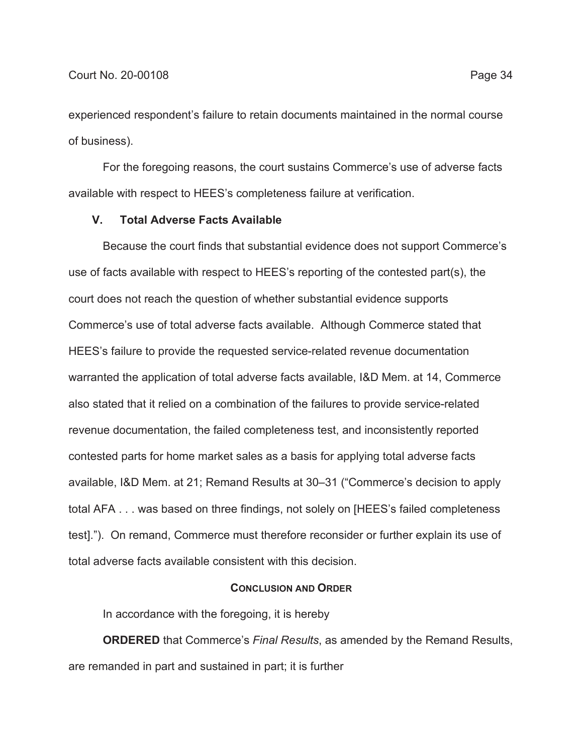experienced respondent's failure to retain documents maintained in the normal course of business).

For the foregoing reasons, the court sustains Commerce's use of adverse facts available with respect to HEES's completeness failure at verification.

## **V. Total Adverse Facts Available**

Because the court finds that substantial evidence does not support Commerce's use of facts available with respect to HEES's reporting of the contested part(s), the court does not reach the question of whether substantial evidence supports Commerce's use of total adverse facts available. Although Commerce stated that HEES's failure to provide the requested service-related revenue documentation warranted the application of total adverse facts available, I&D Mem. at 14, Commerce also stated that it relied on a combination of the failures to provide service-related revenue documentation, the failed completeness test, and inconsistently reported contested parts for home market sales as a basis for applying total adverse facts available, I&D Mem. at 21; Remand Results at 30–31 ("Commerce's decision to apply total AFA . . . was based on three findings, not solely on [HEES's failed completeness test]."). On remand, Commerce must therefore reconsider or further explain its use of total adverse facts available consistent with this decision.

### **CONCLUSION AND ORDER**

In accordance with the foregoing, it is hereby

**ORDERED** that Commerce's *Final Results*, as amended by the Remand Results, are remanded in part and sustained in part; it is further